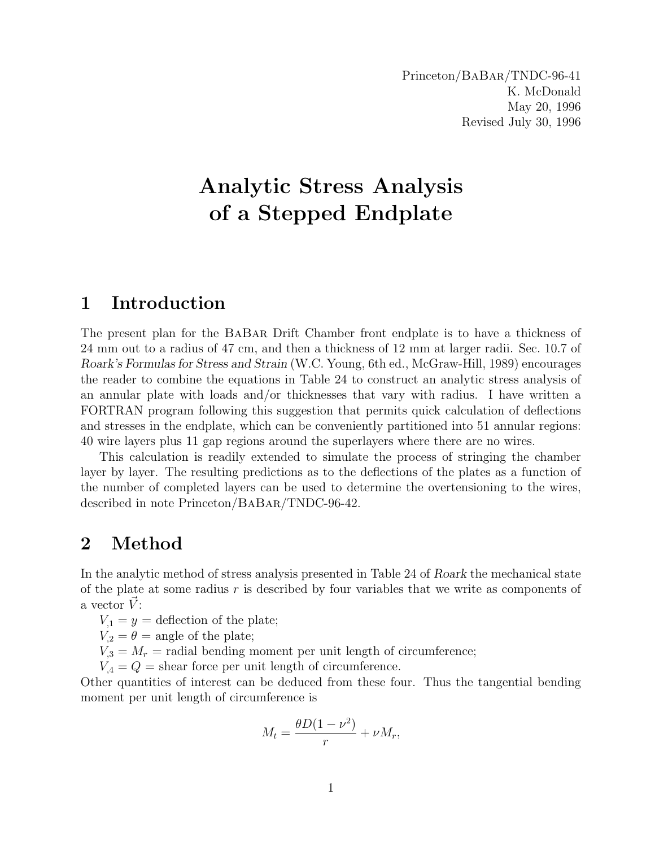# Analytic Stress Analysis of a Stepped Endplate

## 1 Introduction

The present plan for the BaBar Drift Chamber front endplate is to have a thickness of 24 mm out to a radius of 47 cm, and then a thickness of 12 mm at larger radii. Sec. 10.7 of Roark's Formulas for Stress and Strain (W.C. Young, 6th ed., McGraw-Hill, 1989) encourages the reader to combine the equations in Table 24 to construct an analytic stress analysis of an annular plate with loads and/or thicknesses that vary with radius. I have written a FORTRAN program following this suggestion that permits quick calculation of deflections and stresses in the endplate, which can be conveniently partitioned into 51 annular regions: 40 wire layers plus 11 gap regions around the superlayers where there are no wires.

This calculation is readily extended to simulate the process of stringing the chamber layer by layer. The resulting predictions as to the deflections of the plates as a function of the number of completed layers can be used to determine the overtensioning to the wires, described in note Princeton/BaBar/TNDC-96-42.

## 2 Method

In the analytic method of stress analysis presented in Table 24 of Roark the mechanical state of the plate at some radius  $r$  is described by four variables that we write as components of a vector  $V$ :

 $V_1 = y =$  deflection of the plate;

 $V_2 = \theta$  = angle of the plate;

 $V_{3} = M_{r}$  = radial bending moment per unit length of circumference;

 $V_4 = Q =$  shear force per unit length of circumference.

Other quantities of interest can be deduced from these four. Thus the tangential bending moment per unit length of circumference is

$$
M_t = \frac{\theta D(1 - \nu^2)}{r} + \nu M_r,
$$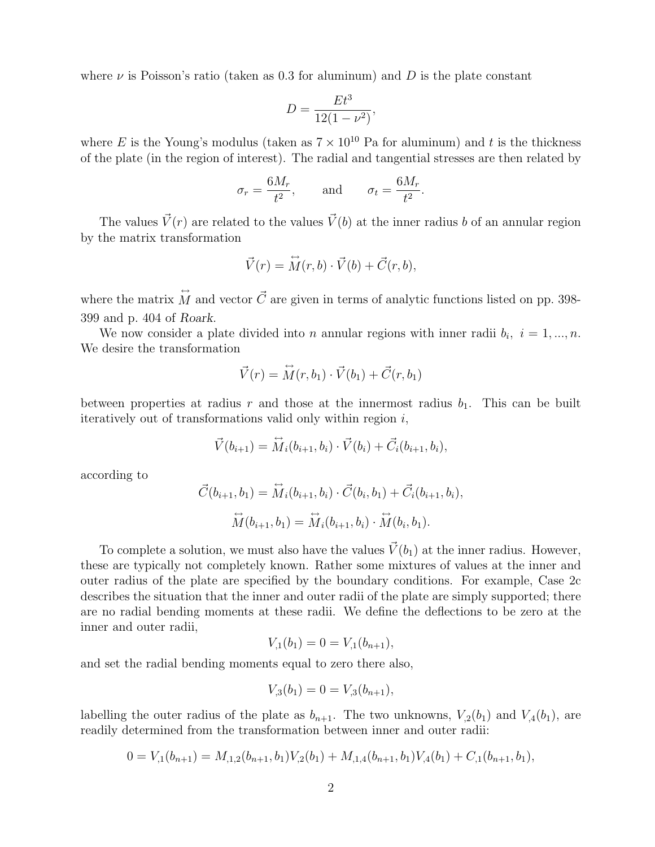where  $\nu$  is Poisson's ratio (taken as 0.3 for aluminum) and D is the plate constant

$$
D = \frac{Et^3}{12(1 - \nu^2)},
$$

where E is the Young's modulus (taken as  $7 \times 10^{10}$  Pa for aluminum) and t is the thickness of the plate (in the region of interest). The radial and tangential stresses are then related by

$$
\sigma_r = \frac{6M_r}{t^2}
$$
, and  $\sigma_t = \frac{6M_r}{t^2}$ .

The values  $\vec{V}(r)$  are related to the values  $\vec{V}(b)$  at the inner radius b of an annular region by the matrix transformation

$$
\vec{V}(r) = \vec{M}(r, b) \cdot \vec{V}(b) + \vec{C}(r, b),
$$

where the matrix  $\hat{M}$  and vector  $\vec{C}$  are given in terms of analytic functions listed on pp. 398-399 and p. 404 of Roark.

We now consider a plate divided into *n* annular regions with inner radii  $b_i$ ,  $i = 1, ..., n$ . We desire the transformation

$$
\vec{V}(r) = \vec{M}(r, b_1) \cdot \vec{V}(b_1) + \vec{C}(r, b_1)
$$

between properties at radius r and those at the innermost radius  $b_1$ . This can be built iteratively out of transformations valid only within region  $i$ ,

$$
\vec{V}(b_{i+1}) = \vec{M}_i(b_{i+1}, b_i) \cdot \vec{V}(b_i) + \vec{C}_i(b_{i+1}, b_i),
$$

according to

$$
\vec{C}(b_{i+1}, b_1) = \overleftrightarrow{M}_i(b_{i+1}, b_i) \cdot \vec{C}(b_i, b_1) + \vec{C}_i(b_{i+1}, b_i),
$$

$$
\overleftrightarrow{M}(b_{i+1}, b_1) = \overleftrightarrow{M}_i(b_{i+1}, b_i) \cdot \overleftrightarrow{M}(b_i, b_1).
$$

To complete a solution, we must also have the values  $\vec{V}(b_1)$  at the inner radius. However, these are typically not completely known. Rather some mixtures of values at the inner and outer radius of the plate are specified by the boundary conditions. For example, Case 2c describes the situation that the inner and outer radii of the plate are simply supported; there are no radial bending moments at these radii. We define the deflections to be zero at the inner and outer radii,

$$
V_{,1}(b_1) = 0 = V_{,1}(b_{n+1}),
$$

and set the radial bending moments equal to zero there also,

$$
V_{,3}(b_1) = 0 = V_{,3}(b_{n+1}),
$$

labelling the outer radius of the plate as  $b_{n+1}$ . The two unknowns,  $V_{,2}(b_1)$  and  $V_{,4}(b_1)$ , are readily determined from the transformation between inner and outer radii:

$$
0 = V_{,1}(b_{n+1}) = M_{,1,2}(b_{n+1}, b_1)V_{,2}(b_1) + M_{,1,4}(b_{n+1}, b_1)V_{,4}(b_1) + C_{,1}(b_{n+1}, b_1),
$$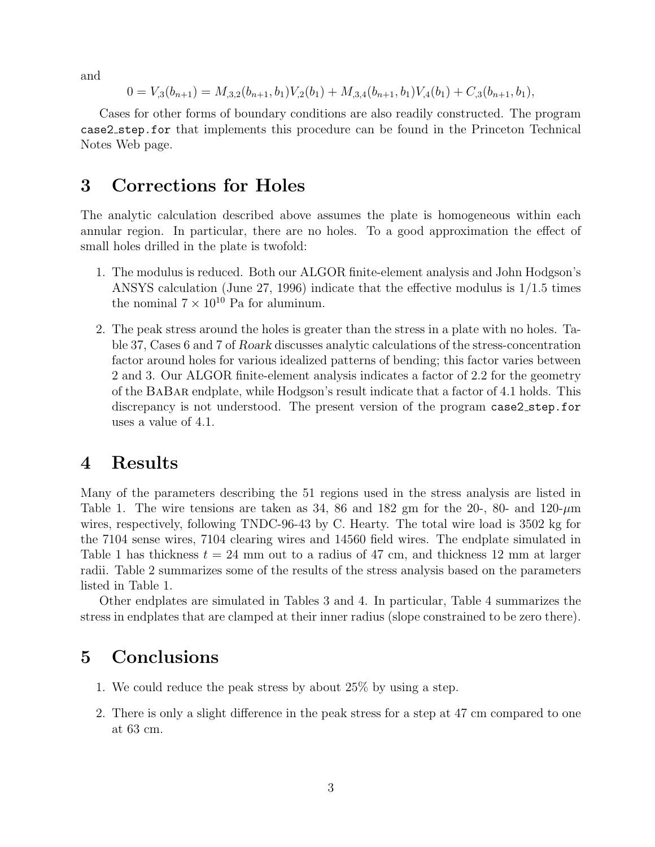and

$$
0 = V_{,3}(b_{n+1}) = M_{,3,2}(b_{n+1}, b_1)V_{,2}(b_1) + M_{,3,4}(b_{n+1}, b_1)V_{,4}(b_1) + C_{,3}(b_{n+1}, b_1),
$$

Cases for other forms of boundary conditions are also readily constructed. The program case2 step.for that implements this procedure can be found in the Princeton Technical Notes Web page.

### 3 Corrections for Holes

The analytic calculation described above assumes the plate is homogeneous within each annular region. In particular, there are no holes. To a good approximation the effect of small holes drilled in the plate is twofold:

- 1. The modulus is reduced. Both our ALGOR finite-element analysis and John Hodgson's ANSYS calculation (June 27, 1996) indicate that the effective modulus is 1/1.5 times the nominal  $7 \times 10^{10}$  Pa for aluminum.
- 2. The peak stress around the holes is greater than the stress in a plate with no holes. Table 37, Cases 6 and 7 of Roark discusses analytic calculations of the stress-concentration factor around holes for various idealized patterns of bending; this factor varies between 2 and 3. Our ALGOR finite-element analysis indicates a factor of 2.2 for the geometry of the BaBar endplate, while Hodgson's result indicate that a factor of 4.1 holds. This discrepancy is not understood. The present version of the program case2 step.for uses a value of 4.1.

#### 4 Results

Many of the parameters describing the 51 regions used in the stress analysis are listed in Table 1. The wire tensions are taken as 34, 86 and 182 gm for the 20-, 80- and  $120$ - $\mu$ m wires, respectively, following TNDC-96-43 by C. Hearty. The total wire load is 3502 kg for the 7104 sense wires, 7104 clearing wires and 14560 field wires. The endplate simulated in Table 1 has thickness  $t = 24$  mm out to a radius of 47 cm, and thickness 12 mm at larger radii. Table 2 summarizes some of the results of the stress analysis based on the parameters listed in Table 1.

Other endplates are simulated in Tables 3 and 4. In particular, Table 4 summarizes the stress in endplates that are clamped at their inner radius (slope constrained to be zero there).

## 5 Conclusions

- 1. We could reduce the peak stress by about 25% by using a step.
- 2. There is only a slight difference in the peak stress for a step at 47 cm compared to one at 63 cm.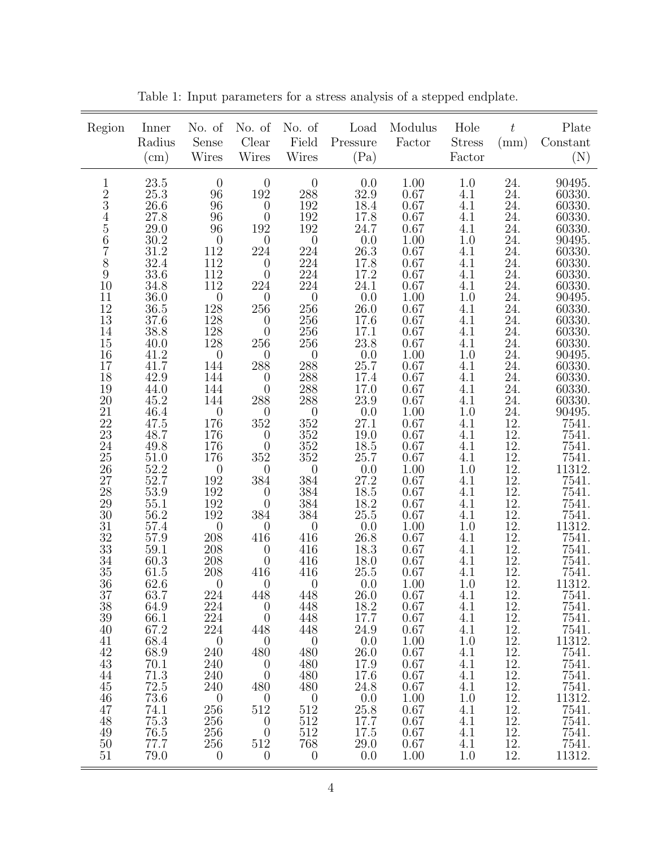| Region                                                                                                                                                                                                                                                                                                                                                                                                            | Inner<br>Radius<br>(cm)                                                                                                                                                                                                                                                                                                                                                                                                                                               | No. of<br>Sense<br>Wires                                                                                                                                                                                                                                                                                                                                                                                                                                                                                                                                                                                  | No. of<br>Clear<br>Wires                                                                                                                                                                                                                                                                                                                                                                                                                                                                                                                                                                                          | No. of<br>Field<br><b>Wires</b>                                                                                                                                                                                                                                                                                                                                                                                                                                                                          | Load<br>Pressure<br>(Pa)                                                                                                                                                                                                                                                                                                                                                                                                                                                                                      | Modulus<br>Factor                                                                                                                                                                                                                                                                                                                                                                                                   | Hole<br><b>Stress</b><br>Factor                                                                                                                                                                                                                                                                                                                                                                     | $t\,$<br>(mm)                                                                                                                                                                                                                                                                                                                                                                 | Plate<br>$\label{eq:constant} \text{Constant}$<br>(N)                                                                                                                                                                                                                                                                                                                                                                                                                                                                               |
|-------------------------------------------------------------------------------------------------------------------------------------------------------------------------------------------------------------------------------------------------------------------------------------------------------------------------------------------------------------------------------------------------------------------|-----------------------------------------------------------------------------------------------------------------------------------------------------------------------------------------------------------------------------------------------------------------------------------------------------------------------------------------------------------------------------------------------------------------------------------------------------------------------|-----------------------------------------------------------------------------------------------------------------------------------------------------------------------------------------------------------------------------------------------------------------------------------------------------------------------------------------------------------------------------------------------------------------------------------------------------------------------------------------------------------------------------------------------------------------------------------------------------------|-------------------------------------------------------------------------------------------------------------------------------------------------------------------------------------------------------------------------------------------------------------------------------------------------------------------------------------------------------------------------------------------------------------------------------------------------------------------------------------------------------------------------------------------------------------------------------------------------------------------|----------------------------------------------------------------------------------------------------------------------------------------------------------------------------------------------------------------------------------------------------------------------------------------------------------------------------------------------------------------------------------------------------------------------------------------------------------------------------------------------------------|---------------------------------------------------------------------------------------------------------------------------------------------------------------------------------------------------------------------------------------------------------------------------------------------------------------------------------------------------------------------------------------------------------------------------------------------------------------------------------------------------------------|---------------------------------------------------------------------------------------------------------------------------------------------------------------------------------------------------------------------------------------------------------------------------------------------------------------------------------------------------------------------------------------------------------------------|-----------------------------------------------------------------------------------------------------------------------------------------------------------------------------------------------------------------------------------------------------------------------------------------------------------------------------------------------------------------------------------------------------|-------------------------------------------------------------------------------------------------------------------------------------------------------------------------------------------------------------------------------------------------------------------------------------------------------------------------------------------------------------------------------|-------------------------------------------------------------------------------------------------------------------------------------------------------------------------------------------------------------------------------------------------------------------------------------------------------------------------------------------------------------------------------------------------------------------------------------------------------------------------------------------------------------------------------------|
| $\mathbf{1}$<br>23456789<br>10<br>$\frac{11}{12}$<br>14<br>$15\,$<br>$16\,$<br>$\frac{17}{18}$<br>$\frac{18}{19}$<br>$\substack{20\\21}$<br>$\frac{2}{2}$<br>23<br>$24\,$<br>$\begin{array}{c} 25 \\ 26 \end{array}$<br>$\substack{27 \\ 28}$<br>$\,29$<br>$30\,$<br>$31\,$<br>$\frac{32}{33}$<br>$\begin{array}{c} 34 \\ 35 \end{array}$<br>36<br>37<br>38<br>39<br>40<br>41<br>42<br>43<br>44<br>45<br>46<br>47 | 23.5<br>$25.3\,$<br>26.6<br>27.8<br>29.0<br>$\frac{30.2}{31.2}$<br>32.4<br>33.6<br>34.8<br>36.0<br>$36.5\,$<br>37.6<br>38.8<br>40.0<br>41.2<br>41.7<br>42.9<br>44.0<br>45.2<br>$46.4\,$<br>47.5<br>48.7<br>49.8<br>$\mathbf{51.0}\atop{\mathbf{52.2}}$<br>52.7<br>53.9<br>$\begin{array}{c} 55.1 \\ 56.2 \end{array}$<br>57.4<br>57.9<br>59.1<br>60.3<br>61.5<br>62.6<br>63.7<br>64.9<br>66.1<br>67.2<br>68.4<br>68.9<br>70.1<br>71.3<br>$72.5\,$<br>$73.6\,$<br>74.1 | $\theta$<br>96<br>96<br>$\begin{array}{c} 96 \\ 96 \end{array}$<br>$\begin{smallmatrix}&&0\\112\\112\end{smallmatrix}$<br>112<br>112<br>$\begin{array}{c} 0 \\ 128 \end{array}$<br>$\frac{128}{128}$<br>$128\,$<br>$\boldsymbol{0}$<br>144<br>144<br>144<br>144<br>$\begin{array}{c} 0 \\ 176 \end{array}$<br>176<br>176<br>176<br>$\boldsymbol{0}$<br>192<br>$192\,$<br>$\frac{192}{192}$<br>$\begin{array}{c} 0 \\ 208 \end{array}$<br>$\overline{208}$<br>$\frac{208}{208}$<br>$\boldsymbol{0}$<br>224<br>224<br>224<br>224<br>$\boldsymbol{0}$<br>240<br>240<br>240<br>240<br>$\boldsymbol{0}$<br>256 | $\boldsymbol{0}$<br>$192\,$<br>$\theta$<br>$\boldsymbol{0}$<br>192<br>$\boldsymbol{0}$<br>224<br>$\theta$<br>$\theta$<br>224<br>$\theta$<br>256<br>$\begin{smallmatrix} 0\\0 \end{smallmatrix}$<br>$256\,$<br>$\boldsymbol{0}$<br>288<br>$\theta$<br>$\overline{0}$<br>288<br>$\boldsymbol{0}$<br>$352\,$<br>$\theta$<br>$\boldsymbol{0}$<br>$352\,$<br>$\theta$<br>384<br>$\theta$<br>$\boldsymbol{0}$<br>384<br>$\boldsymbol{0}$<br>416<br>$\theta$<br>$\boldsymbol{0}$<br>$416\,$<br>$\theta$<br>448<br>$\theta$<br>$\theta$<br>448<br>$\theta$<br>480<br>$\theta$<br>$\overline{0}$<br>480<br>$\theta$<br>512 | $\theta$<br>$\frac{288}{192}$<br>$\frac{192}{192}$<br>$\boldsymbol{0}$<br>$224\,$<br>$224\,$<br>224<br>224<br>$\begin{array}{c} 0 \\ 256 \end{array}$<br>$256\,$<br>$256\,$<br>$256\,$<br>$\frac{0}{288}$<br>$\frac{288}{288}$<br>$288\,$<br>$\frac{250}{352}$<br>$\frac{352}{352}$<br>$\theta$<br>384<br>$384\,$<br>$384\,$<br>$384\,$<br>$\boldsymbol{0}$<br>$41\bar{6}$<br>416<br>416<br>416<br>$\overline{0}$<br>448<br>448<br>448<br>448<br>$\theta$<br>480<br>480<br>480<br>480<br>$\theta$<br>512 | 0.0<br>$\frac{32.9}{18.4}$<br>17.8<br>$24.\overline{7}$<br>$\begin{array}{c} 0.0 \\ 26.3 \\ 17.8 \end{array}$<br>17.2<br>24.1<br>$\frac{0.0}{26.0}$<br>$17.6\,$<br>17.1<br>$23.8\,$<br>$\frac{0.0}{25.7}$<br>17.4<br>17.0<br>23.9<br>$\frac{0.0}{27.1}$<br>19.0<br>$18.5\,$<br>25.7<br>$\frac{0.0}{27.2}$<br>$18.5\,$<br>$\substack{18.2\\25.5}$<br>$\frac{0.0}{26.8}$<br>18.3<br>$\substack{18.0\\25.5}$<br>0.0<br><b>26.0</b><br>18.2<br>17.7<br>24.9<br>0.0<br>26.0<br>17.9<br>17.6<br>24.8<br>0.0<br>25.8 | 1.00<br>$\begin{array}{c} 0.67 \\ 0.67 \end{array}$<br>0.67<br>0.67<br>1.00<br>0.67<br>0.67<br>0.67<br>0.67<br>1.00<br>0.67<br>0.67<br>0.67<br>0.67<br>1.00<br>0.67<br>0.67<br>0.67<br>0.67<br>1.00<br>0.67<br>0.67<br>0.67<br>0.67<br>1.00<br>0.67<br>0.67<br>0.67<br>0.67<br>1.00<br>0.67<br>0.67<br>0.67<br>0.67<br>1.00<br>0.67<br>0.67<br>0.67<br>0.67<br>1.00<br>0.67<br>0.67<br>0.67<br>0.67<br>1.00<br>0.67 | 1.0<br>4.1<br>4.1<br>4.1<br>4.1<br>$1.0\,$<br>4.1<br>4.1<br>$\underset{4.1}{^{4.1}}$<br>1.0<br>4.1<br>4.1<br>4.1<br>4.1<br>$1.0\,$<br>4.1<br>4.1<br>4.1<br>4.1<br>$1.0\,$<br>4.1<br>4.1<br>4.1<br>$\underset{1.0}{\overset{4.1}{\cdot}}$<br>4.1<br>4.1<br>4.1<br>$4.1\,$<br>$1.0\,$<br>4.1<br>4.1<br>4.1<br>4.1<br>1.0<br>4.1<br>4.1<br>4.1<br>4.1<br>1.0<br>4.1<br>4.1<br>4.1<br>4.1<br>1.0<br>4.1 | 24.24.24.24.24.24.<br>$\frac{24}{24}$ .<br>24.<br>24.24.24.24.24.<br>$\frac{24}{24}$ .<br>$\frac{24}{24}$ .<br>24.<br>$^{24}_{24}$ .<br>$\frac{12}{12}$ .<br>12.<br>$\frac{12}{12}$ .<br>$\overline{1}\overline{2}$ .<br>12.<br>$\frac{12}{12}$ .<br>12.<br>12.<br>12.<br>$12. \,$<br>12.<br>12.<br>12.<br>12.<br>12.<br>12.<br>12.<br>12.<br>12.<br>12.<br>12.<br>12.<br>12. | 90495.<br>$60330.\,60330.$<br>60330.<br>60330.<br>90495.<br>60330.<br>60330.<br>60330.<br>60330.<br>90495.<br>60330.<br>60330.<br>60330.<br>60330.<br>$\begin{array}{c} 90495. \\ 60330. \end{array}$<br>60330.<br>60330.<br>$\substack{60330.\\90495.}$<br>7541.<br>7541.<br>7541.<br>$\!\! \begin{array}{c} 7541. \\ 11312. \end{array}$<br>7541.<br>7541.<br>7541.<br>7541.<br>11312.<br>7541.<br>7541.<br>7541.<br>7541.<br>11312.<br>7541.<br>7541.<br>$7541.$<br>$7541.$<br>11312.<br>7541.<br>7541.7541.7541.11312.<br>7541. |
| 48<br>49<br>50<br>51                                                                                                                                                                                                                                                                                                                                                                                              | 75.3<br>76.5<br>77.7<br>79.0                                                                                                                                                                                                                                                                                                                                                                                                                                          | 256<br>256<br>256<br>$\overline{0}$                                                                                                                                                                                                                                                                                                                                                                                                                                                                                                                                                                       | $\theta$<br>$\theta$<br>512<br>$\theta$                                                                                                                                                                                                                                                                                                                                                                                                                                                                                                                                                                           | 512<br>512<br>768<br>$\theta$                                                                                                                                                                                                                                                                                                                                                                                                                                                                            | 17.7<br>17.5<br>29.0<br>0.0                                                                                                                                                                                                                                                                                                                                                                                                                                                                                   | 0.67<br>0.67<br>0.67<br>1.00                                                                                                                                                                                                                                                                                                                                                                                        | 4.1<br>4.1<br>4.1<br>1.0                                                                                                                                                                                                                                                                                                                                                                            | 12.<br>12.<br>12.<br>12.                                                                                                                                                                                                                                                                                                                                                      | 7541.<br>7541.<br>7541.<br>11312.                                                                                                                                                                                                                                                                                                                                                                                                                                                                                                   |

Table 1: Input parameters for a stress analysis of a stepped endplate.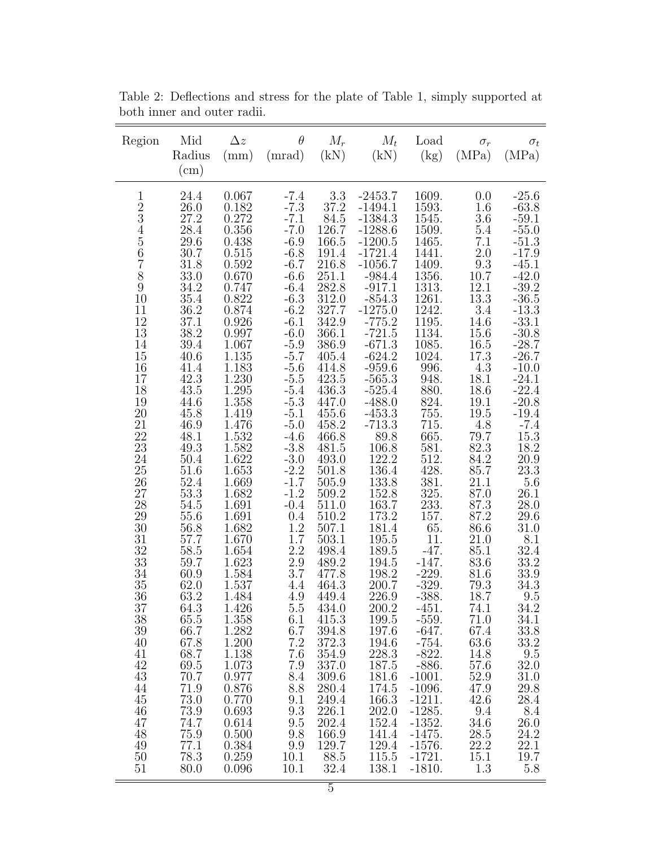| Region                                                                                                                                                                                                                                                                                                                                                                                                       | Mid<br>Radius<br>$\rm (cm)$                                                                                                                                                                                                                                                                                                                                                                                                  | $\Delta z$<br>(mm)                                                                                                                                                                                                                                                                                                                                                                                                                                                              | $\theta$<br>(mrad)                                                                                                                                                                                                                                                                                                                                                                                                                                        | $M_r$<br>(kN)                                                                                                                                                                                                                                                                                                                                                                                                                                                             | $M_t$<br>(kN)                                                                                                                                                                                                                                                                                                                                                                                                                                                                                                                                         | Load<br>(kg)                                                                                                                                                                                                                                                                                                                                                                                                                                                                                          | $\sigma_r$<br>(MPa)                                                                                                                                                                                                                                                                                                                                                                                                          | $\sigma_t$<br>(MPa)                                                                                                                                                                                                                                                                                                                                                                                                                                                                                                 |
|--------------------------------------------------------------------------------------------------------------------------------------------------------------------------------------------------------------------------------------------------------------------------------------------------------------------------------------------------------------------------------------------------------------|------------------------------------------------------------------------------------------------------------------------------------------------------------------------------------------------------------------------------------------------------------------------------------------------------------------------------------------------------------------------------------------------------------------------------|---------------------------------------------------------------------------------------------------------------------------------------------------------------------------------------------------------------------------------------------------------------------------------------------------------------------------------------------------------------------------------------------------------------------------------------------------------------------------------|-----------------------------------------------------------------------------------------------------------------------------------------------------------------------------------------------------------------------------------------------------------------------------------------------------------------------------------------------------------------------------------------------------------------------------------------------------------|---------------------------------------------------------------------------------------------------------------------------------------------------------------------------------------------------------------------------------------------------------------------------------------------------------------------------------------------------------------------------------------------------------------------------------------------------------------------------|-------------------------------------------------------------------------------------------------------------------------------------------------------------------------------------------------------------------------------------------------------------------------------------------------------------------------------------------------------------------------------------------------------------------------------------------------------------------------------------------------------------------------------------------------------|-------------------------------------------------------------------------------------------------------------------------------------------------------------------------------------------------------------------------------------------------------------------------------------------------------------------------------------------------------------------------------------------------------------------------------------------------------------------------------------------------------|------------------------------------------------------------------------------------------------------------------------------------------------------------------------------------------------------------------------------------------------------------------------------------------------------------------------------------------------------------------------------------------------------------------------------|---------------------------------------------------------------------------------------------------------------------------------------------------------------------------------------------------------------------------------------------------------------------------------------------------------------------------------------------------------------------------------------------------------------------------------------------------------------------------------------------------------------------|
| $\mathbf{1}$<br>$\begin{smallmatrix}2\3\3\4\end{smallmatrix}$<br>$\begin{array}{c} 5 \\ 6 \\ 7 \\ 8 \end{array}$<br>$\boldsymbol{9}$<br>10<br>11<br>$12\,$<br>13<br>14<br>15<br>16<br>17<br>18<br>19<br>20<br>21<br>22<br>23<br>24<br>$25\,$<br>$26\,$<br>27<br>28<br>29<br>30<br>31<br>32<br>33<br>34<br>35<br>36<br>37<br>38<br>39<br>40<br>41<br>42<br>43<br>44<br>45<br>46<br>47<br>48<br>49<br>50<br>51 | 24.4<br>26.0<br>27.2<br>28.4<br>29.6<br>30.7<br>$31.8\,$<br>33.0<br>34.2<br>$35.4\,$<br>36.2<br>37.1<br>38.2<br>39.4<br>40.6<br>41.4<br>42.3<br>43.5<br>44.6<br>45.8<br>46.9<br>48.1<br>49.3<br>50.4<br>51.6<br>52.4<br>53.3<br>54.5<br>55.6<br>56.8<br>57.7<br>58.5<br>59.7<br>60.9<br>62.0<br>63.2<br>64.3<br>65.5<br>66.7<br>67.8<br>68.7<br>69.5<br>70.7<br>71.9<br>73.0<br>73.9<br>74.7<br>75.9<br>77.1<br>78.3<br>80.0 | 0.067<br>0.182<br>0.272<br>0.356<br>0.438<br>0.515<br>0.592<br>0.670<br>0.747<br>0.822<br>0.874<br>0.926<br>0.997<br>1.067<br>1.135<br>1.183<br>1.230<br>1.295<br>1.358<br>1.419<br>1.476<br>1.532<br>$1.582\,$<br>1.622<br>1.653<br>1.669<br>1.682<br>1.691<br>1.691<br>1.682<br>1.670<br>1.654<br>1.623<br>1.584<br>1.537<br>1.484<br>1.426<br>1.358<br>1.282<br>1.200<br>1.138<br>1.073<br>0.977<br>0.876<br>0.770<br>0.693<br>0.614<br>0.500<br>$0.384\,$<br>0.259<br>0.096 | $-7.4$<br>$-7.3$<br>$-7.1$<br>$-7.0$<br>$-6.9$<br>$-6.8$<br>$-6.7$<br>$-6.6$<br>$-6.4$<br>$-6.3$<br>$-6.2$<br>$-6.1$<br>$-6.0$<br>$-5.9$<br>$-5.7$<br>$-5.6$<br>$-5.5$<br>$-5.4$<br>$-5.3$<br>$-5.1$<br>$-5.0$<br>$-4.6$<br>$-3.8$<br>$-3.0$<br>$-2.2$<br>$-1.7$<br>$-1.2$<br>$-0.4$<br>0.4<br>1.2<br>1.7<br>$2.2$<br>2.9<br>3.7<br>4.4<br>4.9<br>5.5<br>6.1<br>6.7<br>7.2<br>7.6<br>7.9<br>8.4<br>8.8<br>9.1<br>9.3<br>9.5<br>9.8<br>9.9<br>10.1<br>10.1 | 3.3<br>37.2<br>84.5<br>126.7<br>166.5<br>$191.4\,$<br>216.8<br>251.1<br>282.8<br>312.0<br>327.7<br>342.9<br>366.1<br>386.9<br>405.4<br>414.8<br>$423.5\,$<br>436.3<br>447.0<br>455.6<br>458.2<br>466.8<br>481.5<br>493.0<br>501.8<br>505.9<br>509.2<br>511.0<br>510.2<br>507.1<br>503.1<br>498.4<br>489.2<br>477.8<br>464.3<br>449.4<br>434.0<br>415.3<br>394.8<br>372.3<br>354.9<br>337.0<br>309.6<br>280.4<br>249.4<br>226.1<br>202.4<br>166.9<br>129.7<br>88.5<br>32.4 | $-2453.7$<br>$-1494.1$<br>$-1384.3$<br>$-1288.6$<br>$-1200.5$<br>$-1721.4$<br>$-1056.7$<br>$-984.4$<br>$-917.1$<br>$-854.3$<br>$-1275.0$<br>$-775.2$<br>$-721.5$<br>$-671.3$<br>$-624.2$<br>$-959.6$<br>$-565.3$<br>$-525.4$<br>$-488.0$<br>$-453.3$<br>$-713.3$<br>89.8<br>106.8<br>122.2<br>136.4<br>$133.8\,$<br>152.8<br>163.7<br>173.2<br>181.4<br>$195.5\,$<br>189.5<br>194.5<br>198.2<br>200.7<br>226.9<br>200.2<br>199.5<br>197.6<br>194.6<br>228.3<br>187.5<br>181.6<br>174.5<br>166.3<br>202.0<br>152.4<br>141.4<br>129.4<br>115.5<br>138.1 | 1609.<br>1593.<br>1545.<br>1509.<br>1465.<br>1441.<br>1409.<br>1356.<br>1313.<br>1261.<br>1242.<br>1195.<br>1134.<br>1085.<br>1024.<br>996.<br>948.<br>880.<br>824.<br>755.<br>715.<br>665.<br>581.<br>512.<br>428.<br>381.<br>325.<br>233.<br>157.<br>65.<br>11.<br>$-47.$<br>$-147.$<br>$-229.$<br>$-329.$<br>$-388.$<br>$-451.$<br>$-559.$<br>$-647.$<br>$-754.$<br>$-822.$<br>$-886.$<br>$-1001.$<br>$-1096.$<br>$-1211.$<br>$-1285.$<br>$-1352.$<br>$-1475.$<br>$-1576.$<br>$-1721.$<br>$-1810.$ | 0.0<br>1.6<br>$3.6\,$<br>5.4<br>$7.1\,$<br>2.0<br>9.3<br>10.7<br>12.1<br>13.3<br>$3.4\,$<br>14.6<br>15.6<br>16.5<br>17.3<br>4.3<br>18.1<br>18.6<br>19.1<br>19.5<br>4.8<br>79.7<br>82.3<br>84.2<br>85.7<br>21.1<br>87.0<br>87.3<br>87.2<br>86.6<br>21.0<br>85.1<br>83.6<br>81.6<br>79.3<br>18.7<br>74.1<br>71.0<br>67.4<br>63.6<br>14.8<br>57.6<br>52.9<br>47.9<br>42.6<br>$9.4\,$<br>34.6<br>28.5<br>$22.2\,$<br>15.1<br>1.3 | $-25.6$<br>$-63.8$<br>$-59.1$<br>$-55.0$<br>$-51.3$<br>$-17.9$<br>$-45.1$<br>$-42.0$<br>$-39.2$<br>$-36.5$<br>$-13.3$<br>$-33.1$<br>$-30.8$<br>$-28.7$<br>$-26.7$<br>$-10.0$<br>$-24.1$<br>$-22.4$<br>$-20.8$<br>$-19.4$<br>$-7.4$<br>$\begin{array}{c} 15.3 \\ 18.2 \end{array}$<br>20.9<br>23.3<br>5.6<br>26.1<br>28.0<br>29.6<br>$31.0\,$<br>$8.1\,$<br>32.4<br>33.2<br>33.9<br>34.3<br>9.5<br>34.2<br>34.1<br>33.8<br>33.2<br>9.5<br>32.0<br>31.0<br>29.8<br>28.4<br>8.4<br>26.0<br>24.2<br>22.1<br>19.7<br>5.8 |

Table 2: Deflections and stress for the plate of Table 1, simply supported at both inner and outer radii.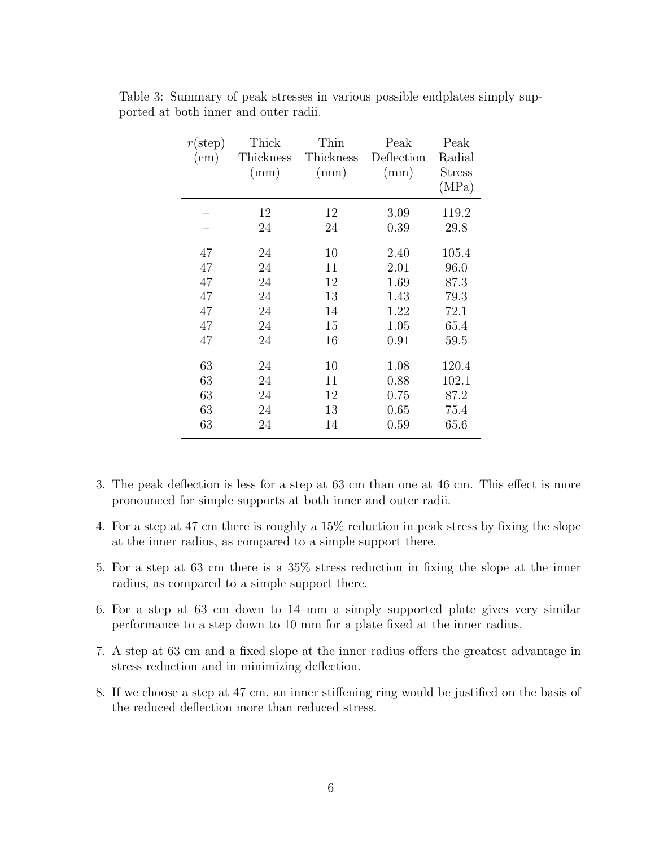| $r(\text{step})$<br>$\text{cm}$ ) | Thick<br>Thickness<br>(mm) | Thin<br>Thickness<br>(mm) | Peak<br>Deflection<br>(mm) | Peak<br>Radial<br><b>Stress</b><br>(MPa) |
|-----------------------------------|----------------------------|---------------------------|----------------------------|------------------------------------------|
|                                   | 12                         | 12                        | 3.09                       | 119.2                                    |
|                                   | 24                         | 24                        | 0.39                       | 29.8                                     |
| 47                                | 24                         | 10                        | 2.40                       | 105.4                                    |
| 47                                | 24                         | 11                        | 2.01                       | 96.0                                     |
| 47                                | 24                         | 12                        | 1.69                       | 87.3                                     |
| 47                                | 24                         | 13                        | 1.43                       | 79.3                                     |
| 47                                | 24                         | 14                        | 1.22                       | 72.1                                     |
| 47                                | 24                         | 15                        | 1.05                       | 65.4                                     |
| 47                                | 24                         | 16                        | 0.91                       | 59.5                                     |
| 63                                | 24                         | 10                        | 1.08                       | 120.4                                    |
| 63                                | 24                         | 11                        | 0.88                       | 102.1                                    |
| 63                                | 24                         | 12                        | 0.75                       | 87.2                                     |
| 63                                | 24                         | 13                        | 0.65                       | 75.4                                     |
| 63                                | 24                         | 14                        | 0.59                       | 65.6                                     |

Table 3: Summary of peak stresses in various possible endplates simply supported at both inner and outer radii.

- 3. The peak deflection is less for a step at 63 cm than one at 46 cm. This effect is more pronounced for simple supports at both inner and outer radii.
- 4. For a step at 47 cm there is roughly a 15% reduction in peak stress by fixing the slope at the inner radius, as compared to a simple support there.
- 5. For a step at 63 cm there is a 35% stress reduction in fixing the slope at the inner radius, as compared to a simple support there.
- 6. For a step at 63 cm down to 14 mm a simply supported plate gives very similar performance to a step down to 10 mm for a plate fixed at the inner radius.
- 7. A step at 63 cm and a fixed slope at the inner radius offers the greatest advantage in stress reduction and in minimizing deflection.
- 8. If we choose a step at 47 cm, an inner stiffening ring would be justified on the basis of the reduced deflection more than reduced stress.